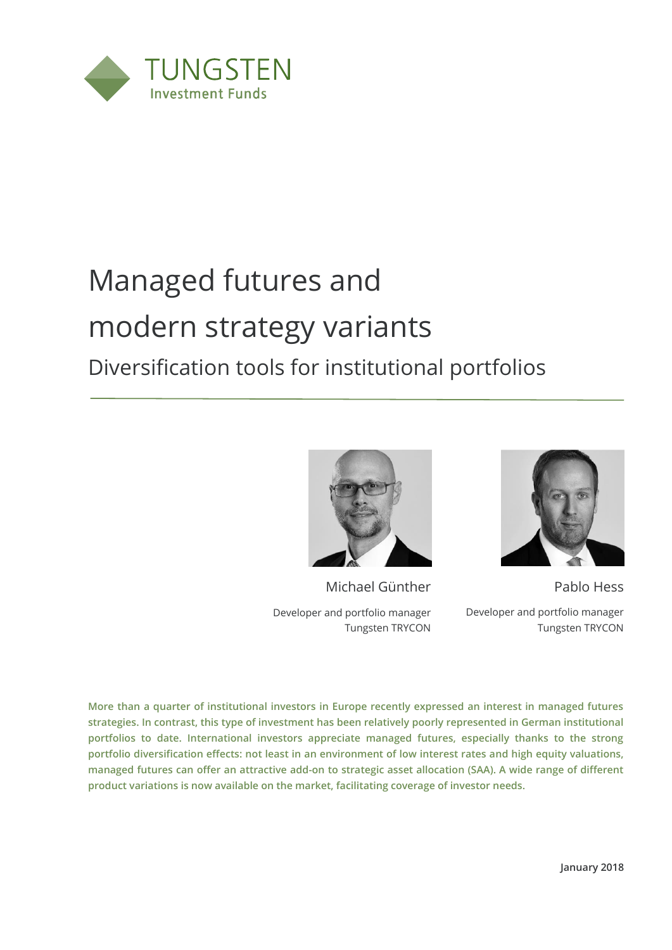

# Managed futures and modern strategy variants Diversification tools for institutional portfolios



Michael Günther Developer and portfolio manager

Tungsten TRYCON



Pablo Hess Developer and portfolio manager Tungsten TRYCON

**More than a quarter of institutional investors in Europe recently expressed an interest in managed futures strategies. In contrast, this type of investment has been relatively poorly represented in German institutional portfolios to date. International investors appreciate managed futures, especially thanks to the strong portfolio diversification effects: not least in an environment of low interest rates and high equity valuations, managed futures can offer an attractive add-on to strategic asset allocation (SAA). A wide range of different product variations is now available on the market, facilitating coverage of investor needs.**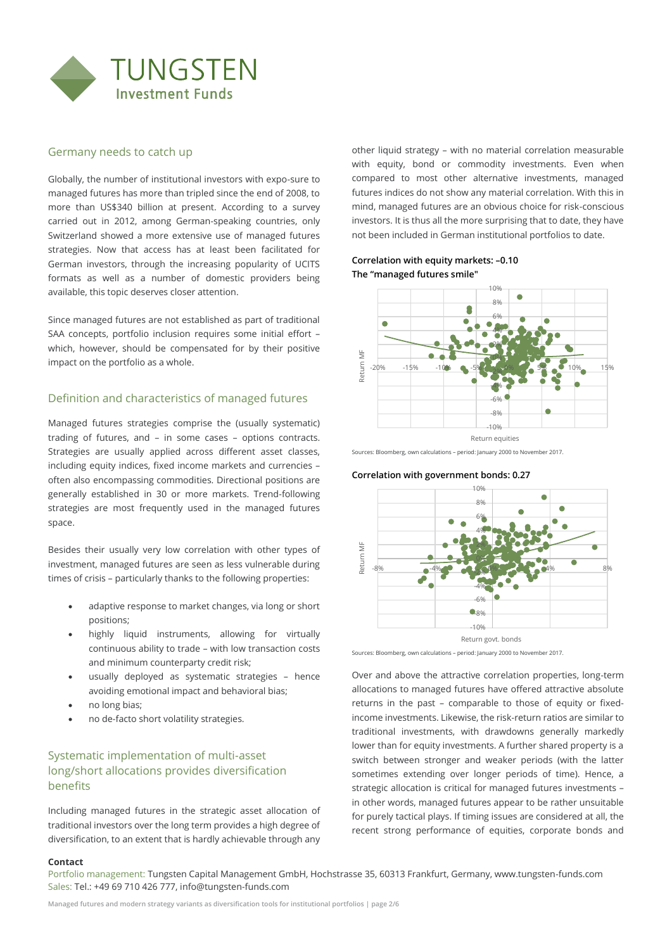

## Germany needs to catch up

Globally, the number of institutional investors with expo-sure to managed futures has more than tripled since the end of 2008, to more than US\$340 billion at present. According to a survey carried out in 2012, among German-speaking countries, only Switzerland showed a more extensive use of managed futures strategies. Now that access has at least been facilitated for German investors, through the increasing popularity of UCITS formats as well as a number of domestic providers being available, this topic deserves closer attention.

Since managed futures are not established as part of traditional SAA concepts, portfolio inclusion requires some initial effort – which, however, should be compensated for by their positive impact on the portfolio as a whole.

# Definition and characteristics of managed futures

Managed futures strategies comprise the (usually systematic) trading of futures, and – in some cases – options contracts. Strategies are usually applied across different asset classes, including equity indices, fixed income markets and currencies – often also encompassing commodities. Directional positions are generally established in 30 or more markets. Trend-following strategies are most frequently used in the managed futures space.

Besides their usually very low correlation with other types of investment, managed futures are seen as less vulnerable during times of crisis – particularly thanks to the following properties:

- adaptive response to market changes, via long or short positions;
- highly liquid instruments, allowing for virtually continuous ability to trade – with low transaction costs and minimum counterparty credit risk;
- usually deployed as systematic strategies hence avoiding emotional impact and behavioral bias;
- no long bias;
- no de-facto short volatility strategies.

# Systematic implementation of multi-asset long/short allocations provides diversification benefits

Including managed futures in the strategic asset allocation of traditional investors over the long term provides a high degree of diversification, to an extent that is hardly achievable through any other liquid strategy – with no material correlation measurable with equity, bond or commodity investments. Even when compared to most other alternative investments, managed futures indices do not show any material correlation. With this in mind, managed futures are an obvious choice for risk-conscious investors. It is thus all the more surprising that to date, they have not been included in German institutional portfolios to date.

### **Correlation with equity markets: –0.10 The "managed futures smile"**



Sources: Bloomberg, own calculations – period: January 2000 to November 2017.





Sources: Bloomberg, own calculations – period: January 2000 to November 2017.

Over and above the attractive correlation properties, long-term allocations to managed futures have offered attractive absolute returns in the past – comparable to those of equity or fixedincome investments. Likewise, the risk-return ratios are similar to traditional investments, with drawdowns generally markedly lower than for equity investments. A further shared property is a switch between stronger and weaker periods (with the latter sometimes extending over longer periods of time). Hence, a strategic allocation is critical for managed futures investments – in other words, managed futures appear to be rather unsuitable for purely tactical plays. If timing issues are considered at all, the recent strong performance of equities, corporate bonds and

#### **Contact**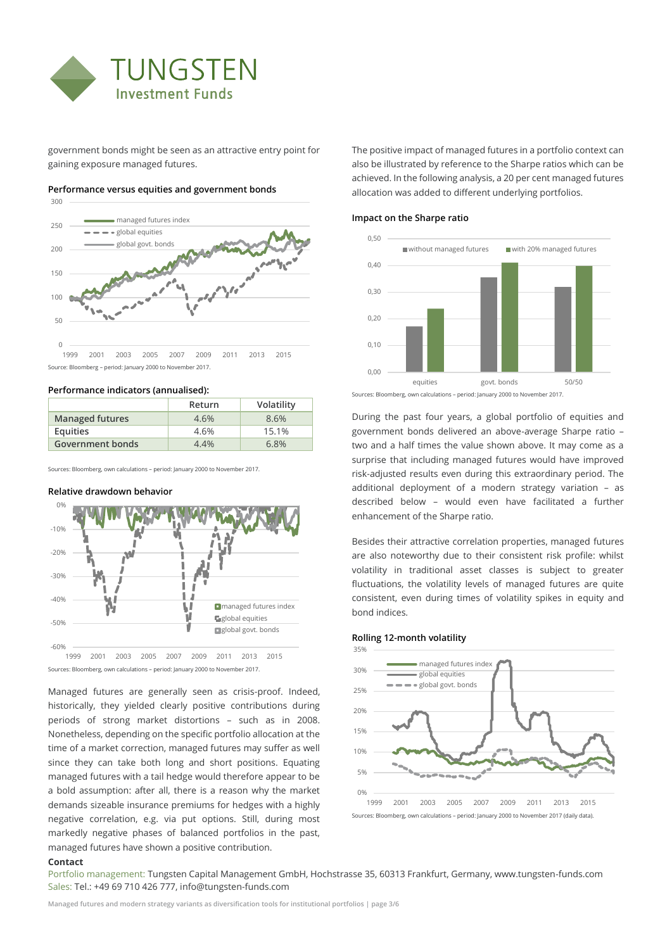

government bonds might be seen as an attractive entry point for gaining exposure managed futures.



#### **Performance versus equities and government bonds**

Source: Bloomberg – period: January 2000 to November 2017. 1999 2001 2003 2005 2007 2009 2011 2013 2015

#### **Performance indicators (annualised):**

|                         | Return | Volatility |
|-------------------------|--------|------------|
| <b>Managed futures</b>  | 4.6%   | 8.6%       |
| Equities                | 4.6%   | 15.1%      |
| <b>Government bonds</b> | 4.4%   | 6.8%       |

Sources: Bloomberg, own calculations – period: January 2000 to November 2017.

#### **Relative drawdown behavior**



Managed futures are generally seen as crisis-proof. Indeed, historically, they yielded clearly positive contributions during periods of strong market distortions – such as in 2008. Nonetheless, depending on the specific portfolio allocation at the time of a market correction, managed futures may suffer as well since they can take both long and short positions. Equating managed futures with a tail hedge would therefore appear to be a bold assumption: after all, there is a reason why the market demands sizeable insurance premiums for hedges with a highly negative correlation, e.g. via put options. Still, during most markedly negative phases of balanced portfolios in the past, managed futures have shown a positive contribution.

The positive impact of managed futures in a portfolio context can also be illustrated by reference to the Sharpe ratios which can be achieved. In the following analysis, a 20 per cent managed futures allocation was added to different underlying portfolios.

#### **Impact on the Sharpe ratio**



Sources: Bloomberg, own calculations – period: January 2000 to November 2017.

During the past four years, a global portfolio of equities and government bonds delivered an above-average Sharpe ratio – two and a half times the value shown above. It may come as a surprise that including managed futures would have improved risk-adjusted results even during this extraordinary period. The additional deployment of a modern strategy variation – as described below – would even have facilitated a further enhancement of the Sharpe ratio.

Besides their attractive correlation properties, managed futures are also noteworthy due to their consistent risk profile: whilst volatility in traditional asset classes is subject to greater fluctuations, the volatility levels of managed futures are quite consistent, even during times of volatility spikes in equity and bond indices.

#### **Rolling 12-month volatility**



Sources: Bloomberg, own calculations – period: January 2000 to November 2017 (daily data).

#### **Contact**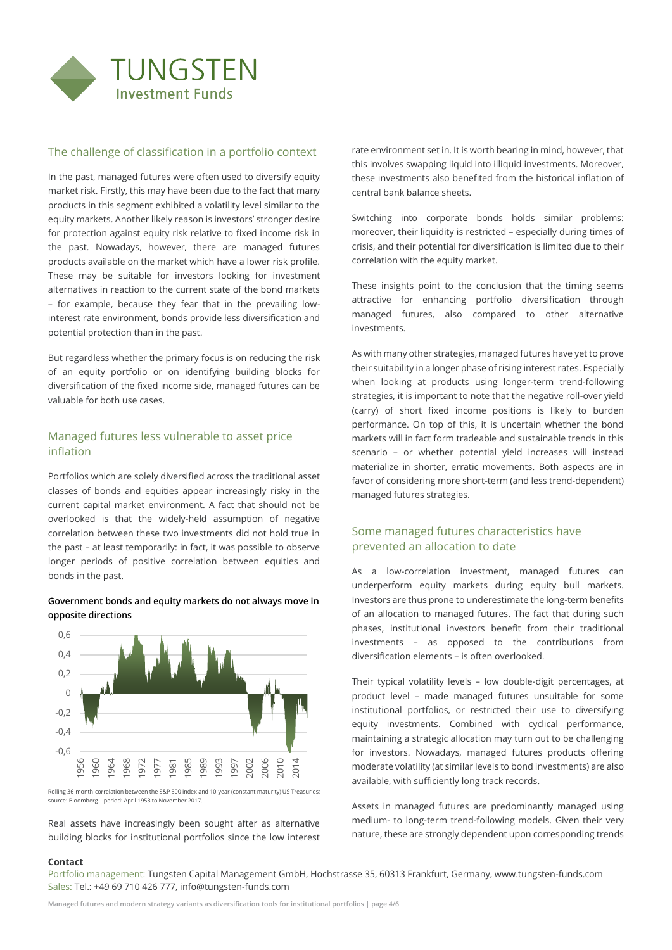

# The challenge of classification in a portfolio context

In the past, managed futures were often used to diversify equity market risk. Firstly, this may have been due to the fact that many products in this segment exhibited a volatility level similar to the equity markets. Another likely reason is investors' stronger desire for protection against equity risk relative to fixed income risk in the past. Nowadays, however, there are managed futures products available on the market which have a lower risk profile. These may be suitable for investors looking for investment alternatives in reaction to the current state of the bond markets – for example, because they fear that in the prevailing lowinterest rate environment, bonds provide less diversification and potential protection than in the past.

But regardless whether the primary focus is on reducing the risk of an equity portfolio or on identifying building blocks for diversification of the fixed income side, managed futures can be valuable for both use cases.

# Managed futures less vulnerable to asset price inflation

Portfolios which are solely diversified across the traditional asset classes of bonds and equities appear increasingly risky in the current capital market environment. A fact that should not be overlooked is that the widely-held assumption of negative correlation between these two investments did not hold true in the past – at least temporarily: in fact, it was possible to observe longer periods of positive correlation between equities and bonds in the past.

# **Government bonds and equity markets do not always move in opposite directions**



Rolling 36-month-correlation between the S&P 500 index and 10-year (constant maturity) US Treasuries; source: Bloomberg – period: April 1953 to November 2017.

Real assets have increasingly been sought after as alternative building blocks for institutional portfolios since the low interest rate environment set in. It is worth bearing in mind, however, that this involves swapping liquid into illiquid investments. Moreover, these investments also benefited from the historical inflation of central bank balance sheets.

Switching into corporate bonds holds similar problems: moreover, their liquidity is restricted – especially during times of crisis, and their potential for diversification is limited due to their correlation with the equity market.

These insights point to the conclusion that the timing seems attractive for enhancing portfolio diversification through managed futures, also compared to other alternative investments.

As with many other strategies, managed futures have yet to prove their suitability in a longer phase of rising interest rates. Especially when looking at products using longer-term trend-following strategies, it is important to note that the negative roll-over yield (carry) of short fixed income positions is likely to burden performance. On top of this, it is uncertain whether the bond markets will in fact form tradeable and sustainable trends in this scenario – or whether potential yield increases will instead materialize in shorter, erratic movements. Both aspects are in favor of considering more short-term (and less trend-dependent) managed futures strategies.

# Some managed futures characteristics have prevented an allocation to date

As a low-correlation investment, managed futures can underperform equity markets during equity bull markets. Investors are thus prone to underestimate the long-term benefits of an allocation to managed futures. The fact that during such phases, institutional investors benefit from their traditional investments – as opposed to the contributions from diversification elements – is often overlooked.

Their typical volatility levels – low double-digit percentages, at product level – made managed futures unsuitable for some institutional portfolios, or restricted their use to diversifying equity investments. Combined with cyclical performance, maintaining a strategic allocation may turn out to be challenging for investors. Nowadays, managed futures products offering moderate volatility (at similar levels to bond investments) are also available, with sufficiently long track records.

Assets in managed futures are predominantly managed using medium- to long-term trend-following models. Given their very nature, these are strongly dependent upon corresponding trends

#### **Contact**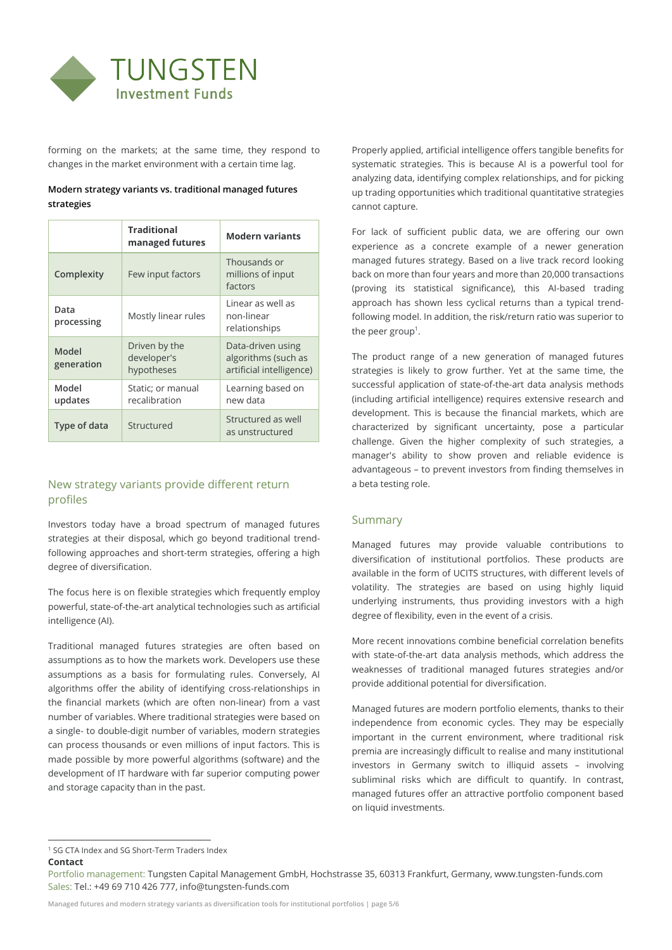

forming on the markets; at the same time, they respond to changes in the market environment with a certain time lag.

# **Modern strategy variants vs. traditional managed futures strategies**

|                     | <b>Traditional</b><br>managed futures      | <b>Modern variants</b>                                               |
|---------------------|--------------------------------------------|----------------------------------------------------------------------|
| Complexity          | Few input factors                          | Thousands or<br>millions of input<br>factors                         |
| Data<br>processing  | Mostly linear rules                        | Linear as well as<br>non-linear<br>relationships                     |
| Model<br>generation | Driven by the<br>developer's<br>hypotheses | Data-driven using<br>algorithms (such as<br>artificial intelligence) |
| Model<br>updates    | Static; or manual<br>recalibration         | Learning based on<br>new data                                        |
| Type of data        | Structured                                 | Structured as well<br>as unstructured                                |

# New strategy variants provide different return profiles

Investors today have a broad spectrum of managed futures strategies at their disposal, which go beyond traditional trendfollowing approaches and short-term strategies, offering a high degree of diversification.

The focus here is on flexible strategies which frequently employ powerful, state-of-the-art analytical technologies such as artificial intelligence (AI).

Traditional managed futures strategies are often based on assumptions as to how the markets work. Developers use these assumptions as a basis for formulating rules. Conversely, AI algorithms offer the ability of identifying cross-relationships in the financial markets (which are often non-linear) from a vast number of variables. Where traditional strategies were based on a single- to double-digit number of variables, modern strategies can process thousands or even millions of input factors. This is made possible by more powerful algorithms (software) and the development of IT hardware with far superior computing power and storage capacity than in the past.

Properly applied, artificial intelligence offers tangible benefits for systematic strategies. This is because AI is a powerful tool for analyzing data, identifying complex relationships, and for picking up trading opportunities which traditional quantitative strategies cannot capture.

For lack of sufficient public data, we are offering our own experience as a concrete example of a newer generation managed futures strategy. Based on a live track record looking back on more than four years and more than 20,000 transactions (proving its statistical significance), this AI-based trading approach has shown less cyclical returns than a typical trendfollowing model. In addition, the risk/return ratio was superior to the peer group<sup>1</sup>.

The product range of a new generation of managed futures strategies is likely to grow further. Yet at the same time, the successful application of state-of-the-art data analysis methods (including artificial intelligence) requires extensive research and development. This is because the financial markets, which are characterized by significant uncertainty, pose a particular challenge. Given the higher complexity of such strategies, a manager's ability to show proven and reliable evidence is advantageous – to prevent investors from finding themselves in a beta testing role.

# Summary

Managed futures may provide valuable contributions to diversification of institutional portfolios. These products are available in the form of UCITS structures, with different levels of volatility. The strategies are based on using highly liquid underlying instruments, thus providing investors with a high degree of flexibility, even in the event of a crisis.

More recent innovations combine beneficial correlation benefits with state-of-the-art data analysis methods, which address the weaknesses of traditional managed futures strategies and/or provide additional potential for diversification.

Managed futures are modern portfolio elements, thanks to their independence from economic cycles. They may be especially important in the current environment, where traditional risk premia are increasingly difficult to realise and many institutional investors in Germany switch to illiquid assets – involving subliminal risks which are difficult to quantify. In contrast, managed futures offer an attractive portfolio component based on liquid investments.

 $\overline{a}$ 

**Contact** <sup>1</sup> SG CTA Index and SG Short-Term Traders Index

Portfolio management: Tungsten Capital Management GmbH, Hochstrasse 35, 60313 Frankfurt, Germany, www.tungsten-funds.com Sales: Tel.: +49 69 710 426 777, info@tungsten-funds.com